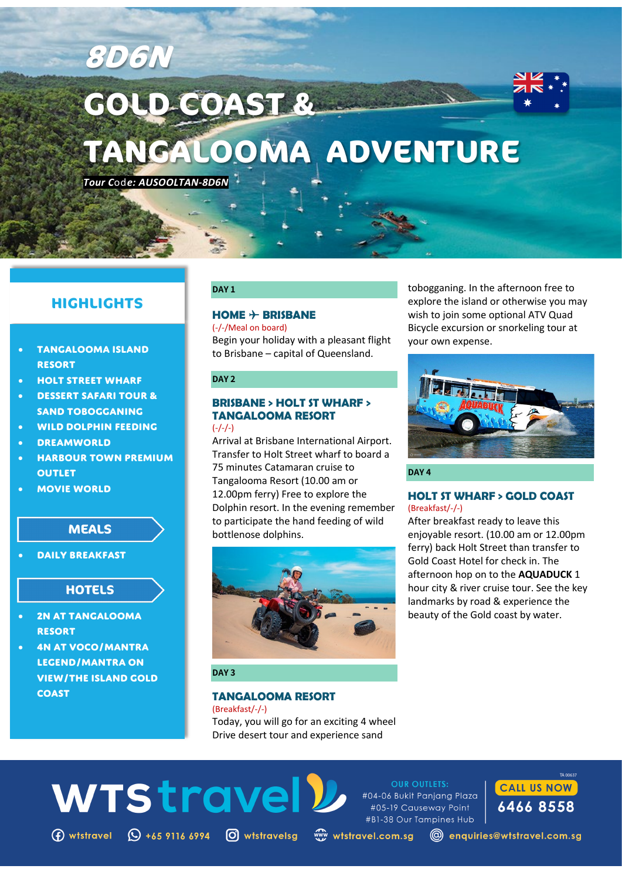# **GOLD COAST & TANGALOOMA ADVENTURE**

*Tour C*od*e: AUSOOLTAN-8D6N*

**8D6N**

# **HIGHLIGHTS**

- **TANGALOOMA ISLAND RESORT**
- **HOLT STREET WHARF**
- **DESSERT SAFARI TOUR & SAND TOBOGGANING**
- **WILD DOLPHIN FEEDING**
- **DREAMWORLD**
- **HARBOUR TOWN PREMIUM OUTLET**
- **MOVIE WORLD**

# **MEALS**

• **Daily Breakfast**

## **HOTELS**

- **2N AT TANGALOOMA RESORT**
- **4N AT VOCO/MANTRA LEGEND/MANTRA ON VIEW/THE ISLAND GOLD COAST**

# **DAY 1**

# **HOME** ✈ **BRISBANE**

(-/-/Meal on board) Begin your holiday with a pleasant flight to Brisbane – capital of Queensland.

#### **DAY 2**

# **BRISBANE > HOLT ST WHARF > TANGALOOMA RESORT**

## $(-/-/-)$

Arrival at Brisbane International Airport. Transfer to Holt Street wharf to board a 75 minutes Catamaran cruise to Tangalooma Resort (10.00 am or 12.00pm ferry) Free to explore the Dolphin resort. In the evening remember to participate the hand feeding of wild bottlenose dolphins.



# **DAY 3**

**WTStravel** 

 $\bigoplus$  wtstravel  $\bigoplus$  +65 9116 6994  $\bigodot$  wtstravelsg

# **TANGALOOMA RESORT**

(Breakfast/-/-) Today, you will go for an exciting 4 wheel Drive desert tour and experience sand

tobogganing. In the afternoon free to explore the island or otherwise you may wish to join some optional ATV Quad Bicycle excursion or snorkeling tour at your own expense.



**DAY 4**

**OUR OUTLETS:** 

www.wtstravel.com.sg

#### **HOLT ST WHARF > GOLD COAST** (Breakfast/-/-)

After breakfast ready to leave this enjoyable resort. (10.00 am or 12.00pm ferry) back Holt Street than transfer to Gold Coast Hotel for check in. The afternoon hop on to the **AQUADUCK** 1 hour city & river cruise tour. See the key landmarks by road & experience the beauty of the Gold coast by water.



@ enquiries@wtstravel.com.sg